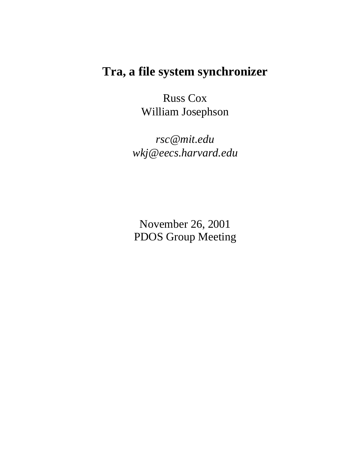### **Tra, a file system synchronizer**

Russ Cox William Josephson

*rsc@mit.edu wkj@eecs.harvard.edu*

November 26, 2001 PDOS Group Meeting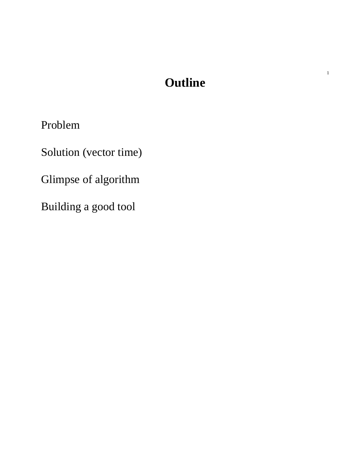# **Outline**

1

Problem

Solution (vector time)

Glimpse of algorithm

Building a good tool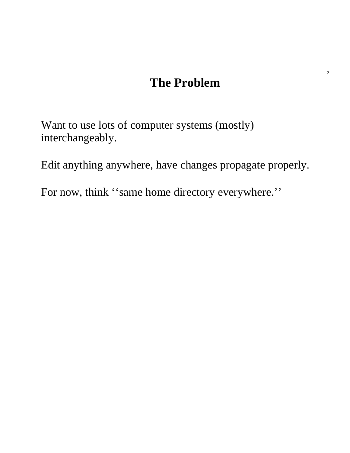## **The Problem**

Want to use lots of computer systems (mostly) interchangeably.

Edit anything anywhere, have changes propagate properly.

For now, think "same home directory everywhere."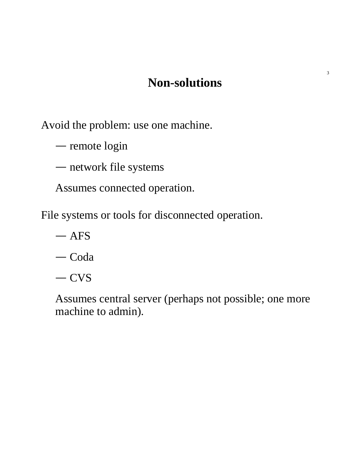### **Non-solutions**

Avoid the problem: use one machine.

 $-$  remote login

network file systems

Assumes connected operation.

File systems or tools for disconnected operation.

AFS

— Coda

 $-CVS$ 

Assumes central server (perhaps not possible; one more machine to admin).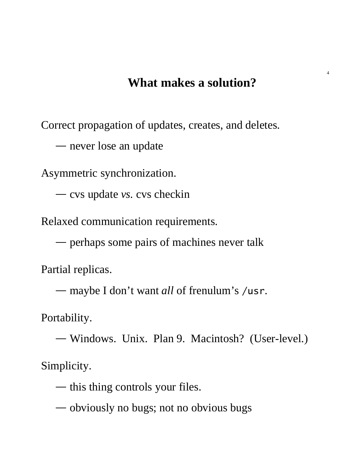#### **What makes a solution?**

4

Correct propagation of updates, creates, and deletes.

— never lose an update

Asymmetric synchronization.

cvs update *vs.* cvs checkin

Relaxed communication requirements.

perhaps some pairs of machines never talk

Partial replicas.

maybe I don't want *all* of frenulum's /usr.

Portability.

 Windows. Unix. Plan 9. Macintosh? (User-level.) Simplicity.

— this thing controls your files.

obviously no bugs; not no obvious bugs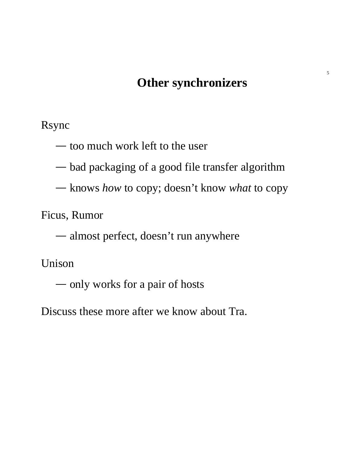### **Other synchronizers**

Rsync

— too much work left to the user

bad packaging of a good file transfer algorithm

knows *how* to copy; doesn't know *what* to copy

Ficus, Rumor

almost perfect, doesn't run anywhere

Unison

— only works for a pair of hosts

Discuss these more after we know about Tra.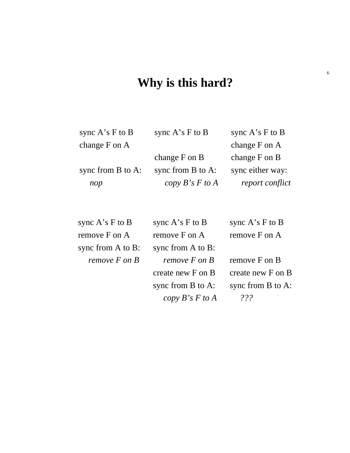#### **Why is this hard?**

sync A's F to B change F on A

sync A's F to B

sync from B to A: *nop*

change F on B sync from B to A:

 $\mathsf I$  $\mathsf{I}$  $\mathsf{I}$  $\mathsf{I}$  $\mathsf{I}$  $\mathsf{I}$  $\mathsf{I}$ 

 $\mathsf I$  $\mathsf{I}$  $\mathsf{I}$  $\mathsf{I}$  $\mathsf{I}$  $\mathsf{I}$  $\mathsf{I}$  $\mathsf{I}$  $\mathsf{I}$  $\mathsf{I}$ 

*copy B's F to A report conflict* sync A's F to B change F on A change F on B sync either way:

 $\mathsf I$  $\mathsf{I}$  $\mathsf{I}$  $\mathsf{I}$  $\mathsf{I}$  $\mathsf{I}$  $\mathsf{I}$  $\mathsf{I}$ 

 $\mathsf I$ I I I I I I I I I I

sync A's F to B remove F on A sync from A to B: *remove F on B*

sync A's F to B remove F on A sync from A to B: *remove F on B* create new F on B sync from B to A: *copy B's F to A ???*

sync A's F to B remove F on A

remove F on B create new F on B sync from B to A: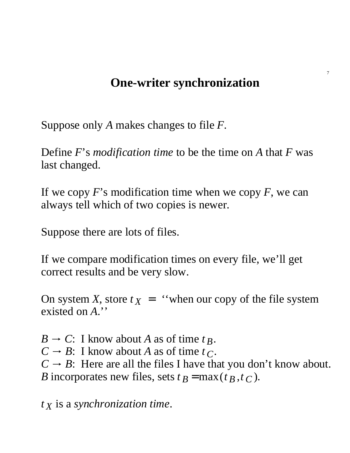### **One-writer synchronization**

7

Suppose only *A* makes changes to file *F*.

Define *F*'s *modification time* to be the time on *A* that *F* was last changed.

If we copy *F*'s modification time when we copy *F*, we can always tell which of two copies is newer.

Suppose there are lots of files.

If we compare modification times on every file, we'll get correct results and be very slow.

On system *X*, store  $t_X =$  "when our copy of the file system existed on *A*.''

 $B \rightarrow C$ : I know about *A* as of time  $t_B$ .  $C \rightarrow B$ : I know about *A* as of time  $t_C$ .  $C \rightarrow B$ : Here are all the files I have that you don't know about. *B* incorporates new files, sets  $t_B = \max(t_B, t_C)$ .

*t X* is a *synchronization time*.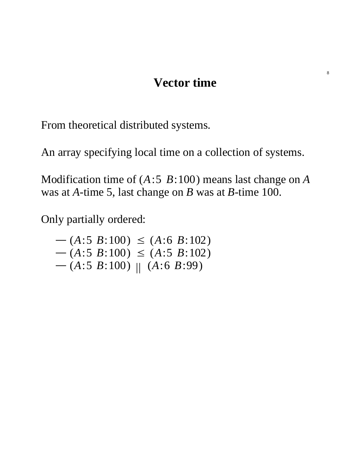#### **Vector time**

From theoretical distributed systems.

An array specifying local time on a collection of systems.

Modification time of (*A*:5 *B*:100) means last change on *A* was at *A*-time 5, last change on *B* was at *B*-time 100.

Only partially ordered:

 $-(A:5 \ B:100) \leq (A:6 \ B:102)$  $-(A:5 \ B:100) \leq (A:5 \ B:102)$  $-(A:5 \ B:100)$  //  $(A:6 \ B:99)$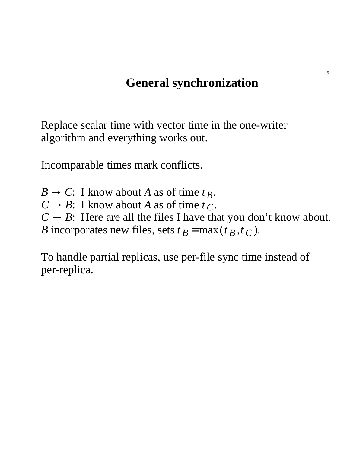### **General synchronization**

Replace scalar time with vector time in the one-writer algorithm and everything works out.

Incomparable times mark conflicts.

 $B \rightarrow C$ : I know about *A* as of time  $t_B$ .  $C \rightarrow B$ : I know about *A* as of time  $t_C$ .  $C \rightarrow B$ : Here are all the files I have that you don't know about. *B* incorporates new files, sets  $t_B = \max(t_B, t_C)$ .

To handle partial replicas, use per-file sync time instead of per-replica.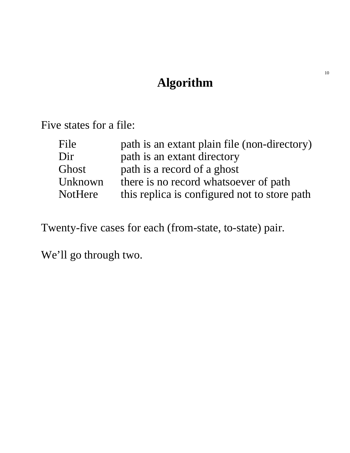# **Algorithm**

Five states for a file:

| File           | path is an extant plain file (non-directory) |
|----------------|----------------------------------------------|
| Dir            | path is an extant directory                  |
| Ghost          | path is a record of a ghost                  |
| Unknown        | there is no record whatsoever of path        |
| <b>NotHere</b> | this replica is configured not to store path |

Twenty-five cases for each (from-state, to-state) pair.

We'll go through two.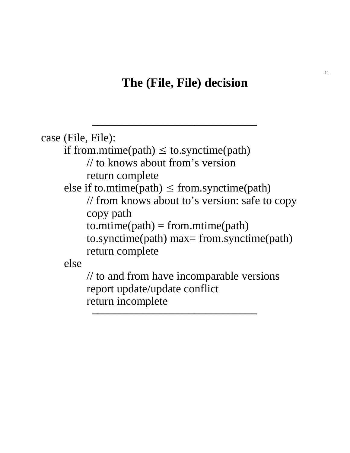### **The (File, File) decision**

 $\mathcal{L}_\text{max}$ 

```
case (File, File):
    if from.mtime(path) \leq to.synctime(path)
         // to knows about from's version
         return complete
    else if to.mtime(path) \leq from.synctime(path)
         // from knows about to's version: safe to copy
         copy path
         to.mtime(path) = from.mtime(path)to.synctime(path) max= from.synctime(path)
         return complete
    else
         // to and from have incomparable versions
         report update/update conflict
         return incomplete
          \mu momple.
```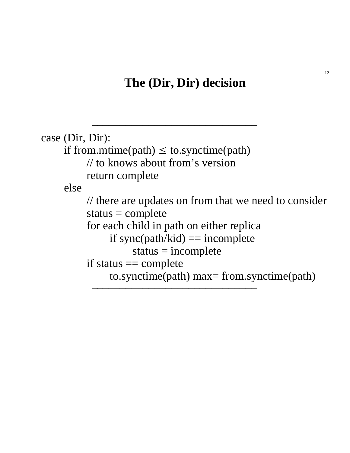#### **The (Dir, Dir) decision**

 $\mathcal{L}_\text{max}$ 

```
case (Dir, Dir):
     if from.mtime(path) \leq to.synctime(path)
          // to knows about from's version
          return complete
     else
          // there are updates on from that we need to consider
          status = completefor each child in path on either replica
               if sync(path/kid) == incomplete
                    status = incompleteif status == complete
               to.synctime(path) max= from.synctime(path)
```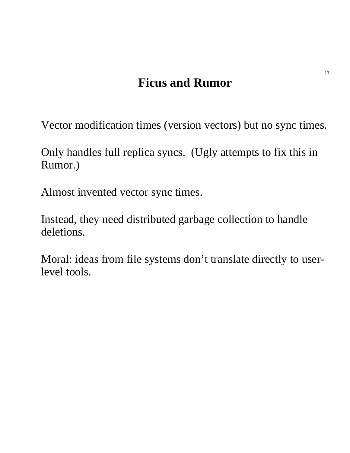# **Ficus and Rumor**

Vector modification times (version vectors) but no sync times.

Only handles full replica syncs. (Ugly attempts to fix this in Rumor.)

Almost invented vector sync times.

Instead, they need distributed garbage collection to handle deletions.

Moral: ideas from file systems don't translate directly to userlevel tools.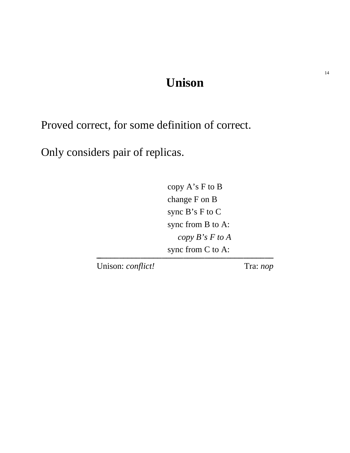### **Unison**

Proved correct, for some definition of correct.

Only considers pair of replicas.

copy A's F to B change F on B sync B's F to C sync from B to A: *copy B's F to A* sync from C to A:

Unison: *conflict!* Tra: *nop*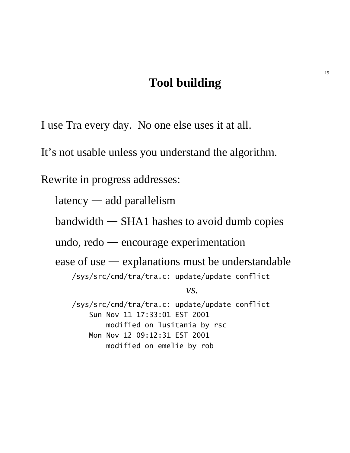#### **Tool building**

I use Tra every day. No one else uses it at all.

It's not usable unless you understand the algorithm.

Rewrite in progress addresses:

 $latency$  — add parallelism

 $bandwidth$   $\rightarrow$  SHA1 hashes to avoid dumb copies

undo,  $redo$  - encourage experimentation

ease of use  $-$  explanations must be understandable

/sys/src/cmd/tra/tra.c: update/update conflict

*vs.*

/sys/src/cmd/tra/tra.c: update/update conflict Sun Nov 11 17:33:01 EST 2001 modified on lusitania by rsc Mon Nov 12 09:12:31 EST 2001 modified on emelie by rob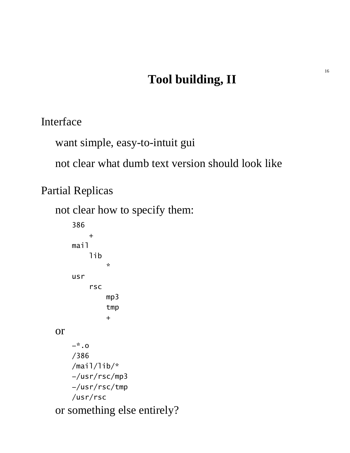# **Tool building, II**

Interface

want simple, easy-to-intuit gui

not clear what dumb text version should look like

Partial Replicas

not clear how to specify them:

```
386
        +
    mail
        lib
            *
    usr
        rsc
            mp3
            tmp
            +
or
    −*.o
    /386
    /mail/lib/*
    −/usr/rsc/mp3
    −/usr/rsc/tmp
    /usr/rsc
or something else entirely?
```